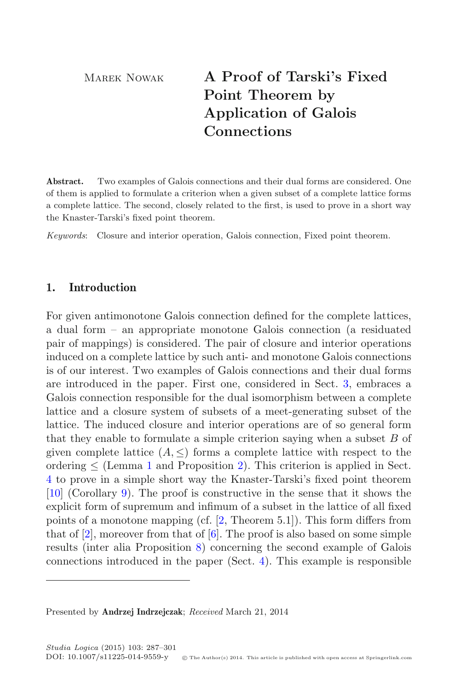Marek Nowak **A Proof of Tarski's Fixed Point Theorem by Application of Galois Connections**

**Abstract.** Two examples of Galois connections and their dual forms are considered. One of them is applied to formulate a criterion when a given subset of a complete lattice forms a complete lattice. The second, closely related to the first, is used to prove in a short way the Knaster-Tarski's fixed point theorem.

*Keywords*: Closure and interior operation, Galois connection, Fixed point theorem.

# **1. Introduction**

For given antimonotone Galois connection defined for the complete lattices, a dual form – an appropriate monotone Galois connection (a residuated pair of mappings) is considered. The pair of closure and interior operations induced on a complete lattice by such anti- and monotone Galois connections is of our interest. Two examples of Galois connections and their dual forms are introduced in the paper. First one, considered in Sect. [3,](#page-4-0) embraces a Galois connection responsible for the dual isomorphism between a complete lattice and a closure system of subsets of a meet-generating subset of the lattice. The induced closure and interior operations are of so general form that they enable to formulate a simple criterion saying when a subset  $B$  of given complete lattice  $(A, \leq)$  forms a complete lattice with respect to the ordering  $\leq$  (Lemma [1](#page-5-0) and Proposition [2\)](#page-6-0). This criterion is applied in Sect. [4](#page-7-0) to prove in a simple short way the Knaster-Tarski's fixed point theorem [\[10](#page-14-0)] (Corollary [9\)](#page-13-0). The proof is constructive in the sense that it shows the explicit form of supremum and infimum of a subset in the lattice of all fixed points of a monotone mapping (cf. [\[2,](#page-13-1) Theorem 5.1]). This form differs from that of  $[2]$ , moreover from that of  $[6]$  $[6]$ . The proof is also based on some simple results (inter alia Proposition [8\)](#page-13-2) concerning the second example of Galois connections introduced in the paper (Sect. [4\)](#page-7-0). This example is responsible

Presented by **Andrzej Indrzejczak**; *Received* March 21, 2014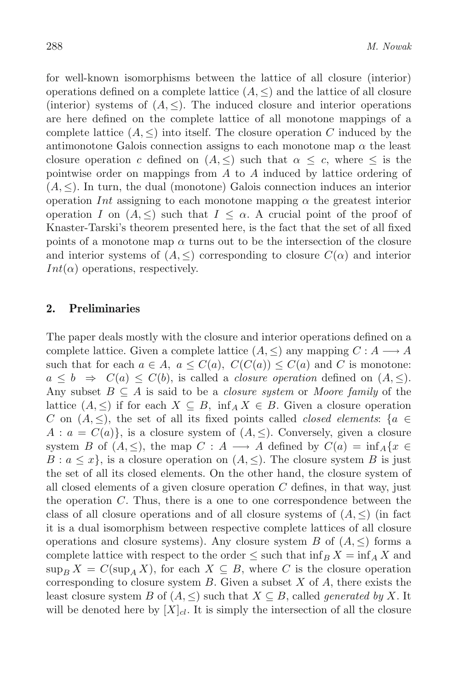for well-known isomorphisms between the lattice of all closure (interior) operations defined on a complete lattice  $(A, \leq)$  and the lattice of all closure (interior) systems of  $(A, \leq)$ . The induced closure and interior operations are here defined on the complete lattice of all monotone mappings of a complete lattice  $(A, \leq)$  into itself. The closure operation C induced by the antimonotone Galois connection assigns to each monotone map  $\alpha$  the least closure operation c defined on  $(A, \leq)$  such that  $\alpha \leq c$ , where  $\leq$  is the pointwise order on mappings from  $A$  to  $A$  induced by lattice ordering of  $(A, \leq)$ . In turn, the dual (monotone) Galois connection induces an interior operation Int assigning to each monotone mapping  $\alpha$  the greatest interior operation I on  $(A, \leq)$  such that  $I \leq \alpha$ . A crucial point of the proof of Knaster-Tarski's theorem presented here, is the fact that the set of all fixed points of a monotone map  $\alpha$  turns out to be the intersection of the closure and interior systems of  $(A, \leq)$  corresponding to closure  $C(\alpha)$  and interior  $Int(\alpha)$  operations, respectively.

### **2. Preliminaries**

The paper deals mostly with the closure and interior operations defined on a complete lattice. Given a complete lattice  $(A, \leq)$  any mapping  $C : A \longrightarrow A$ such that for each  $a \in A$ ,  $a \leq C(a)$ ,  $C(C(a)) \leq C(a)$  and C is monotone:  $a \leq b \Rightarrow C(a) \leq C(b)$ , is called a *closure operation* defined on  $(A, \leq)$ . Any subset B <sup>⊆</sup> A is said to be a *closure system* or *Moore family* of the lattice  $(A, \leq)$  if for each  $X \subseteq B$ , inf<sub>A</sub>  $X \in B$ . Given a closure operation C on  $(A, \leq)$ , the set of all its fixed points called *closed elements*: {a  $\in$  $A: a = C(a)$ , is a closure system of  $(A, \leq)$ . Conversely, given a closure system B of  $(A, \leq)$ , the map  $C : A \longrightarrow A$  defined by  $C(a) = \inf_{A} \{x \in A\}$  $B: a \leq x\}$ , is a closure operation on  $(A, \leq)$ . The closure system B is just the set of all its closed elements. On the other hand, the closure system of all closed elements of a given closure operation  $C$  defines, in that way, just the operation  $C$ . Thus, there is a one to one correspondence between the class of all closure operations and of all closure systems of  $(A, \leq)$  (in fact it is a dual isomorphism between respective complete lattices of all closure operations and closure systems). Any closure system B of  $(A, \leq)$  forms a complete lattice with respect to the order  $\leq$  such that  $\inf_B X = \inf_A X$  and  $\sup_B X = C(\sup_A X)$ , for each  $X \subseteq B$ , where C is the closure operation corresponding to closure system  $B$ . Given a subset  $X$  of  $A$ , there exists the least closure system B of  $(A, \leq)$  such that  $X \subseteq B$ , called *generated by* X. It will be denoted here by  $[X]_{cl}$ . It is simply the intersection of all the closure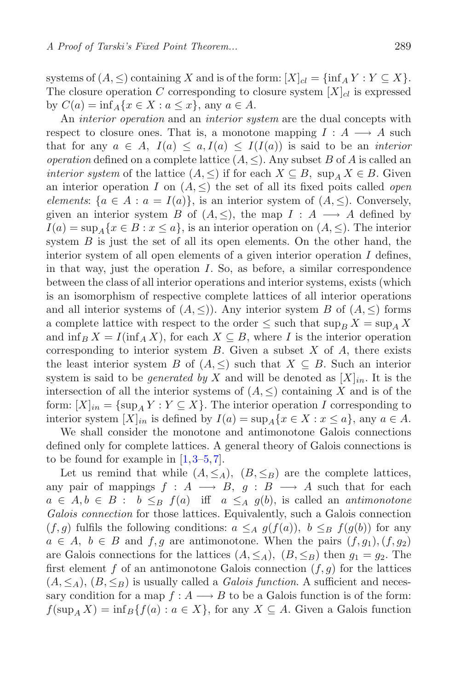systems of  $(A, \leq)$  containing X and is of the form:  $[X]_{cl} = \{ \inf_A Y : Y \subseteq X \}.$ The closure operation C corresponding to closure system  $[X]_{cl}$  is expressed by  $C(a) = \inf_A \{x \in X : a \leq x\}$ , any  $a \in A$ .

An *interior operation* and an *interior system* are the dual concepts with respect to closure ones. That is, a monotone mapping  $I : A \longrightarrow A$  such that for any  $a \in A$ ,  $I(a) \leq a, I(a) \leq I(I(a))$  is said to be an *interior operation* defined on a complete lattice  $(A, \leq)$ . Any subset B of A is called an *interior system* of the lattice  $(A, \leq)$  if for each  $X \subseteq B$ , sup<sub>A</sub>  $X \in B$ . Given an interior operation I on  $(A, \leq)$  the set of all its fixed poits called *open elements*:  $\{a \in A : a = I(a)\}\$ , is an interior system of  $(A, \le)$ . Conversely, given an interior system B of  $(A, \leq)$ , the map  $I : A \longrightarrow A$  defined by  $I(a) = \sup_{A} \{x \in B : x \leq a\}$ , is an interior operation on  $(A, \leq)$ . The interior system  $B$  is just the set of all its open elements. On the other hand, the interior system of all open elements of a given interior operation  $I$  defines, in that way, just the operation  $I$ . So, as before, a similar correspondence between the class of all interior operations and interior systems, exists (which is an isomorphism of respective complete lattices of all interior operations and all interior systems of  $(A, \leq)$ ). Any interior system B of  $(A, \leq)$  forms a complete lattice with respect to the order  $\leq$  such that  $\sup_{B} X = \sup_{A} X$ and  $\inf_B X = I(\inf_A X)$ , for each  $X \subseteq B$ , where I is the interior operation corresponding to interior system  $B$ . Given a subset  $X$  of  $A$ , there exists the least interior system B of  $(A, \leq)$  such that  $X \subseteq B$ . Such an interior system is said to be *generated by* X and will be denoted as  $[X]_{in}$ . It is the intersection of all the interior systems of  $(A, \leq)$  containing X and is of the form:  $[X]_{in} = \{ \sup_A Y : Y \subseteq X \}$ . The interior operation I corresponding to interior system  $[X]_{in}$  is defined by  $I(a) = \sup_{A} \{x \in X : x \leq a\}$ , any  $a \in A$ .

We shall consider the monotone and antimonotone Galois connections defined only for complete lattices. A general theory of Galois connections is to be found for example in  $[1,3-5,7]$  $[1,3-5,7]$  $[1,3-5,7]$  $[1,3-5,7]$ .

Let us remind that while  $(A, \leq_A), (B, \leq_B)$  are the complete lattices, any pair of mappings  $f : A \longrightarrow B$ ,  $g : B \longrightarrow A$  such that for each  $a \in A, b \in B: b \leq_B f(a)$  if  $a \leq_A g(b)$ , is called an *antimonotone Galois connection* for those lattices. Equivalently, such a Galois connection  $(f,g)$  fulfils the following conditions:  $a \leq_A g(f(a))$ ,  $b \leq_B f(g(b))$  for any  $a \in A$ ,  $b \in B$  and  $f, g$  are antimonotone. When the pairs  $(f, g_1), (f, g_2)$ are Galois connections for the lattices  $(A, \leq_A), (B, \leq_B)$  then  $g_1 = g_2$ . The first element f of an antimonotone Galois connection  $(f, g)$  for the lattices  $(A, \leq_A), (B, \leq_B)$  is usually called a *Galois function*. A sufficient and necessary condition for a map  $f : A \longrightarrow B$  to be a Galois function is of the form:  $f(\sup_{A} X) = \inf_{B} \{f(a) : a \in X\}$ , for any  $X \subseteq A$ . Given a Galois function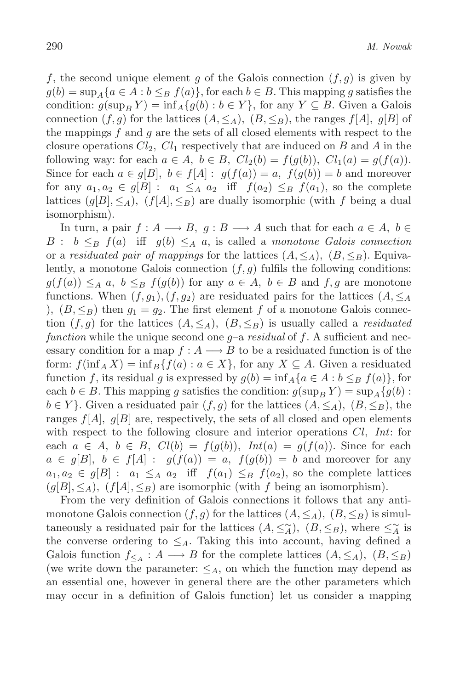f, the second unique element g of the Galois connection  $(f,g)$  is given by  $g(b) = \sup_{A} \{a \in A : b \leq_B f(a)\}\$ , for each  $b \in B$ . This mapping g satisfies the condition:  $g(\sup_B Y) = \inf_A \{g(b) : b \in Y\}$ , for any  $Y \subseteq B$ . Given a Galois connection  $(f,g)$  for the lattices  $(A,\leq_A), (B,\leq_B)$ , the ranges  $f[A], g[B]$  of the mappings  $f$  and  $g$  are the sets of all closed elements with respect to the closure operations  $Cl_2$ ,  $Cl_1$  respectively that are induced on B and A in the following way: for each  $a \in A$ ,  $b \in B$ ,  $Cl_2(b) = f(g(b))$ ,  $Cl_1(a) = g(f(a))$ . Since for each  $a \in g[B], b \in f[A] : g(f(a)) = a, f(g(b)) = b$  and moreover for any  $a_1, a_2 \in g[B] : a_1 \leq_A a_2$  iff  $f(a_2) \leq_B f(a_1)$ , so the complete lattices  $(g[B], \leq_A)$ ,  $(f[A], \leq_B)$  are dually isomorphic (with f being a dual isomorphism).

In turn, a pair  $f: A \longrightarrow B$ ,  $g: B \longrightarrow A$  such that for each  $a \in A$ ,  $b \in A$ B :  $b \leq_B f(a)$  iff  $g(b) \leq_A a$ , is called a *monotone Galois connection* or a *residuated pair of mappings* for the lattices  $(A, \leq_A)$ ,  $(B, \leq_B)$ . Equivalently, a monotone Galois connection  $(f,g)$  fulfils the following conditions:  $g(f(a)) \leq_A a, b \leq_B f(g(b))$  for any  $a \in A, b \in B$  and  $f, g$  are monotone functions. When  $(f,g_1), (f,g_2)$  are residuated pairs for the lattices  $(A, \leq_A)$ ),  $(B, \leq_B)$  then  $g_1 = g_2$ . The first element f of a monotone Galois connection  $(f,g)$  for the lattices  $(A,\leq_A), (B,\leq_B)$  is usually called a *residuated function* while the unique second one g–a *residual* of f. A sufficient and necessary condition for a map  $f : A \longrightarrow B$  to be a residuated function is of the form:  $f(\inf_{A} X) = \inf_{B} \{f(a) : a \in X\}$ , for any  $X \subseteq A$ . Given a residuated function f, its residual g is expressed by  $g(b) = \inf_A \{a \in A : b \leq_B f(a)\}\,$  for each  $b \in B$ . This mapping g satisfies the condition:  $g(\sup_B Y) = \sup_A \{g(b) :$  $b \in Y$ . Given a residuated pair  $(f, g)$  for the lattices  $(A, \leq_A), (B, \leq_B)$ , the ranges  $f[A], g[B]$  are, respectively, the sets of all closed and open elements with respect to the following closure and interior operations Cl, *Int*: for each  $a \in A$ ,  $b \in B$ ,  $Cl(b) = f(q(b))$ ,  $Int(a) = g(f(a))$ . Since for each  $a \in g[B], b \in f[A] : g(f(a)) = a, f(g(b)) = b$  and moreover for any  $a_1, a_2 \in g[B] : a_1 \leq_A a_2$  iff  $f(a_1) \leq_B f(a_2)$ , so the complete lattices  $(g[B], \leq_A), (f[A], \leq_B)$  are isomorphic (with f being an isomorphism).

From the very definition of Galois connections it follows that any antimonotone Galois connection  $(f,g)$  for the lattices  $(A,\leq_A), (B,\leq_B)$  is simultaneously a residuated pair for the lattices  $(A, \leq^{\sim}_A), (B, \leq_B)$ , where  $\leq^{\sim}_A$  is<br>the converse ordering to  $\leq$ . Taking this into account having defined a the converse ordering to  $\leq_A$ . Taking this into account, having defined a Galois function  $f_{\leq A}: A \longrightarrow B$  for the complete lattices  $(A, \leq_A), (B, \leq_B)$ (we write down the parameter:  $\leq_A$ , on which the function may depend as an essential one, however in general there are the other parameters which may occur in a definition of Galois function) let us consider a mapping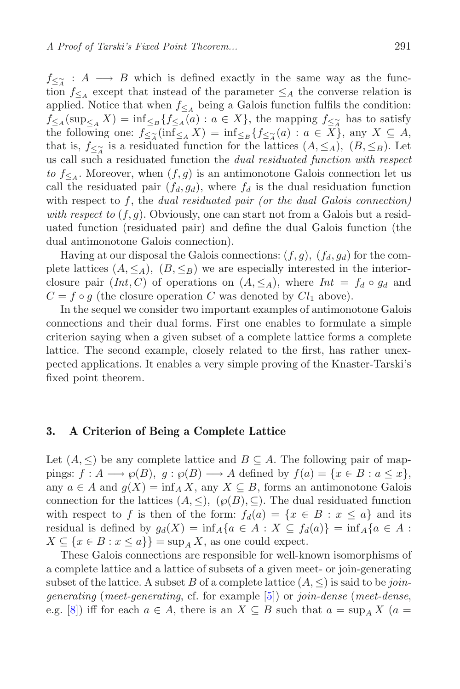J≤∡<br>fion  $f_{\leq \widetilde{A}} : A \longrightarrow B$  which is defined exactly in the same way as the function  $f_{\leq A}$  except that instead of the parameter  $\leq_A$  the converse relation is<br>applied. Notice that when  $f_{\leq A}$  being a Galois function fulfils the condition applied. Notice that when  $f_{\leq A}$  being a Galois function fulfils the condition:  $f_{\leq A}(\sup_{\leq A} X) = \inf_{\leq B} \{f_{\leq A}(a) : a \in X\}$ , the mapping  $f_{\leq \tilde{A}}$  has to satisfy<br>the following one:  $f_{\leq \alpha}(\inf_{\leq X} X) = \inf_{\leq X} f_{\leq \alpha}(a) : a \in X$  any  $X \subset A$ the following one:  $f_{\leq \widetilde{A}}(\inf_{\leq A} X) = \inf_{\leq B} \{f_{\leq \widetilde{A}}(a) : a \in X\}$ , any  $X \subseteq A$ , that is  $f_{\leq \infty}$  is a residuated function for the lattices  $(A \leq \Lambda)$  ( $B \leq \infty$ ) Let that is,  $f_{\leq \alpha}$  is a residuated function for the lattices  $(A, \leq_A)$ ,  $(B, \leq_B)$ . Let the call such a residuated function the *dual residuated function with respect* us call such a residuated function the *dual residuated function with respect to*  $f_{\leq A}$ . Moreover, when  $(f, g)$  is an antimonotone Galois connection let us call the residuated pair  $(f_d, g_d)$ , where  $f_d$  is the dual residuation function with respect to f, the *dual residuated pair (or the dual Galois connection) with respect to*  $(f, g)$ . Obviously, one can start not from a Galois but a residuated function (residuated pair) and define the dual Galois function (the dual antimonotone Galois connection).

Having at our disposal the Galois connections:  $(f, g)$ ,  $(f_d, g_d)$  for the complete lattices  $(A, \leq_A)$ ,  $(B, \leq_B)$  we are especially interested in the interiorclosure pair  $(int, C)$  of operations on  $(A, \leq_A)$ , where  $Int = f_d \circ g_d$  and  $C = f \circ g$  (the closure operation C was denoted by  $Cl_1$  above).

In the sequel we consider two important examples of antimonotone Galois connections and their dual forms. First one enables to formulate a simple criterion saying when a given subset of a complete lattice forms a complete lattice. The second example, closely related to the first, has rather unexpected applications. It enables a very simple proving of the Knaster-Tarski's fixed point theorem.

## <span id="page-4-0"></span>**3. A Criterion of Being a Complete Lattice**

Let  $(A, \leq)$  be any complete lattice and  $B \subseteq A$ . The following pair of mappings:  $f : A \longrightarrow \varphi(B), g : \varphi(B) \longrightarrow A$  defined by  $f(a) = \{x \in B : a \leq x\},\$ any  $a \in A$  and  $g(X) = \inf_A X$ , any  $X \subseteq B$ , forms an antimonotone Galois connection for the lattices  $(A, \leq), \ (\wp(B), \subseteq)$ . The dual residuated function with respect to f is then of the form:  $f_d(a) = \{x \in B : x \leq a\}$  and its residual is defined by  $g_d(X) = \inf_A \{a \in A : X \subseteq f_d(a)\} = \inf_A \{a \in A : A \subseteq f_d(a)\}$  $X \subseteq \{x \in B : x \le a\}\} = \sup_A X$ , as one could expect.

These Galois connections are responsible for well-known isomorphisms of a complete lattice and a lattice of subsets of a given meet- or join-generating subset of the lattice. A subset B of a complete lattice  $(A, \leq)$  is said to be *joingenerating* (*meet-generating*, cf. for example [\[5\]](#page-14-2)) or *join-dense* (*meet-dense*, e.g. [\[8\]](#page-14-4)) iff for each  $a \in A$ , there is an  $X \subseteq B$  such that  $a = \sup_A X$   $(a =$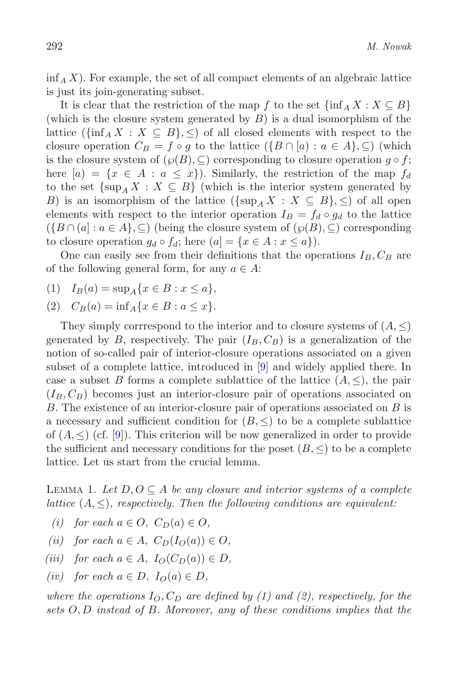$\inf_{A} X$ ). For example, the set of all compact elements of an algebraic lattice is just its join-generating subset.

It is clear that the restriction of the map f to the set  $\{\inf_A X : X \subseteq B\}$ (which is the closure system generated by  $B$ ) is a dual isomorphism of the lattice  $(\{\inf_A X : X \subseteq B\}, \leq)$  of all closed elements with respect to the closure operation  $C_B = f \circ g$  to the lattice  $(\{B \cap [a) : a \in A\}, \subseteq)$  (which is the closure system of  $(\wp(B), \subseteq)$  corresponding to closure operation  $q \circ f$ ; here  $[a] = \{x \in A : a \leq x\}$ . Similarly, the restriction of the map  $f_d$ to the set  $\{\sup_{A} X : X \subseteq B\}$  (which is the interior system generated by B) is an isomorphism of the lattice  $({\{\sup_A X : X \subseteq B\}, \leq})$  of all open elements with respect to the interior operation  $I_B = f_d \circ g_d$  to the lattice  $(\{B \cap (a] : a \in A\}, \subseteq)$  (being the closure system of  $(\wp(B), \subseteq)$  corresponding to closure operation  $g_d \circ f_d$ ; here  $(a) = \{x \in A : x \leq a\}$ .

One can easily see from their definitions that the operations  $I_B, C_B$  are of the following general form, for any  $a \in A$ :

- (1)  $I_B(a) = \sup_A \{x \in B : x \leq a\},\$
- (2)  $C_B(a) = \inf_A \{x \in B : a \leq x\}.$

They simply corrrespond to the interior and to closure systems of  $(A, \leq)$ generated by B, respectively. The pair  $(I_B, C_B)$  is a generalization of the notion of so-called pair of interior-closure operations associated on a given subset of a complete lattice, introduced in [\[9\]](#page-14-5) and widely applied there. In case a subset B forms a complete sublattice of the lattice  $(A, \leq)$ , the pair  $(I_B, C_B)$  becomes just an interior-closure pair of operations associated on B. The existence of an interior-closure pair of operations associated on B is a necessary and sufficient condition for  $(B, \leq)$  to be a complete sublattice of  $(A, \leq)$  (cf. [\[9\]](#page-14-5)). This criterion will be now generalized in order to provide the sufficient and necessary conditions for the poset  $(B, \leq)$  to be a complete lattice. Let us start from the crucial lemma.

<span id="page-5-0"></span>LEMMA 1. Let  $D, O \subseteq A$  be any closure and interior systems of a complete *lattice*  $(A, \leq)$ *, respectively. Then the following conditions are equivalent:* 

- *(i)* for each  $a \in O$ ,  $C_D(a) \in O$ ,
- *(ii)* for each  $a \in A$ ,  $C_D(I_O(a)) \in O$ ,
- *(iii)* for each  $a \in A$ ,  $I_O(C_D(a)) \in D$ ,
- *(iv)* for each  $a \in D$ ,  $I_O(a) \in D$ ,

where the operations  $I_O$ ,  $C_D$  are defined by (1) and (2), respectively, for the *sets* O, D *instead of* B*. Moreover, any of these conditions implies that the*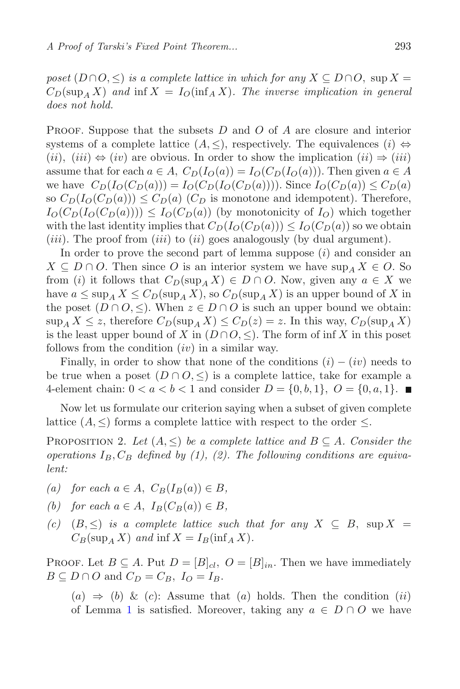*poset*  $(D \cap O, \leq)$  *is a complete lattice in which for any*  $X \subseteq D \cap O$ , sup  $X =$  $C_D(\sup_A X)$  and  $\inf X = I_O(\inf_A X)$ . The inverse implication in general *does not hold.*

PROOF. Suppose that the subsets  $D$  and  $O$  of  $A$  are closure and interior systems of a complete lattice  $(A, \leq)$ , respectively. The equivalences  $(i) \Leftrightarrow$  $(ii), (iii) \Leftrightarrow (iv)$  are obvious. In order to show the implication  $(ii) \Rightarrow (iii)$ assume that for each  $a \in A$ ,  $C_D(I_O(a)) = I_O(C_D(I_O(a)))$ . Then given  $a \in A$ we have  $C_D(I_O(C_D(a))) = I_O(C_D(I_O(C_D(a))))$ . Since  $I_O(C_D(a)) \leq C_D(a)$ so  $C_D(I_O(C_D(a))) \le C_D(a)$  ( $C_D$  is monotone and idempotent). Therefore,  $I_O(C_D(I_O(C_D(a)))) \leq I_O(C_D(a))$  (by monotonicity of  $I_O$ ) which together with the last identity implies that  $C_D(I_O(C_D(a))) \leq I_O(C_D(a))$  so we obtain (*iii*). The proof from (*iii*) to (*ii*) goes analogously (by dual argument).

In order to prove the second part of lemma suppose  $(i)$  and consider an  $X \subseteq D \cap O$ . Then since O is an interior system we have sup  $\Lambda X \in O$ . So from (i) it follows that  $C_D(\sup_A X) \in D \cap O$ . Now, given any  $a \in X$  we have  $a \le \sup_A X \le C_D(\sup_A X)$ , so  $C_D(\sup_A X)$  is an upper bound of X in the poset  $(D \cap O, \leq)$ . When  $z \in D \cap O$  is such an upper bound we obtain:  $\sup_{A} X \leq z$ , therefore  $C_D(\sup_{A} X) \leq C_D(z) = z$ . In this way,  $C_D(\sup_{A} X)$ is the least upper bound of X in  $(D \cap O, \leq)$ . The form of inf X in this poset follows from the condition  $(iv)$  in a similar way.

Finally, in order to show that none of the conditions  $(i) - (iv)$  needs to be true when a poset  $(D \cap O, \leq)$  is a complete lattice, take for example a 4-element chain:  $0 < a < b < 1$  and consider  $D = \{0, b, 1\}, O = \{0, a, 1\}.$ 

<span id="page-6-0"></span>Now let us formulate our criterion saying when a subset of given complete lattice  $(A, \leq)$  forms a complete lattice with respect to the order  $\leq$ .

PROPOSITION 2. Let  $(A, \leq)$  be a complete lattice and  $B \subseteq A$ . Consider the *operations*  $I_B$ ,  $C_B$  *defined by (1), (2). The following conditions are equivalent:*

- *(a)* for each  $a \in A$ ,  $C_B(I_B(a)) \in B$ ,
- *(b)* for each  $a \in A$ ,  $I_B(C_B(a)) \in B$ ,
- *(c)*  $(B, \leq)$  *is a complete lattice such that for any*  $X \subseteq B$ , sup  $X =$  $C_B(\sup_A X)$  *and*  $\inf X = I_B(\inf_A X)$ .

PROOF. Let  $B \subseteq A$ . Put  $D = [B]_{cl}$ ,  $O = [B]_{in}$ . Then we have immediately  $B \subseteq D \cap O$  and  $C_D = C_B$ ,  $I_O = I_B$ .

 $(a) \Rightarrow (b) \& (c)$ : Assume that  $(a)$  holds. Then the condition  $(ii)$ of Lemma [1](#page-5-0) is satisfied. Moreover, taking any  $a \in D \cap O$  we have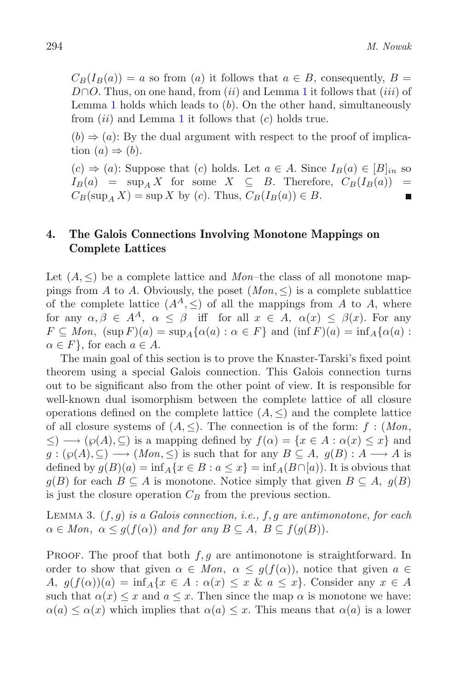$C_B(I_B(a)) = a$  so from (a) it follows that  $a \in B$ , consequently,  $B =$ D∩O. Thus, on one hand, from  $(ii)$  and Lemma [1](#page-5-0) it follows that  $(iii)$  of Lemma [1](#page-5-0) holds which leads to  $(b)$ . On the other hand, simultaneously from  $(ii)$  and Lemma [1](#page-5-0) it follows that  $(c)$  holds true.

 $(b) \Rightarrow (a)$ : By the dual argument with respect to the proof of implication  $(a) \Rightarrow (b)$ .

 $(c) \Rightarrow (a)$ : Suppose that  $(c)$  holds. Let  $a \in A$ . Since  $I_B(a) \in [B]_{in}$  so  $I_B(a) = \sup_A X$  for some  $X \subseteq B$ . Therefore,  $C_B(I_B(a)) =$  $I_B(a) = \sup_A X$  for some  $X \subseteq B$ . Therefore,  $C_B(I_B(a)) = C_B(\sup_A X) = \sup_X X$  by  $(c)$  Thus  $C_B(I_B(a)) \in B$  $C_B(\sup_A X) = \sup X$  by (c). Thus,  $C_B(I_B(a)) \in B$ .

# <span id="page-7-0"></span>**4. The Galois Connections Involving Monotone Mappings on Complete Lattices**

Let  $(A, \leq)$  be a complete lattice and *Mon*–the class of all monotone mappings from A to A. Obviously, the poset  $(Mon, \leq)$  is a complete sublattice of the complete lattice  $(A^A, \leq)$  of all the mappings from A to A, where for any  $\alpha, \beta \in A^A$ ,  $\alpha \leq \beta$  iff for all  $x \in A$ ,  $\alpha(x) \leq \beta(x)$ . For any  $F \subseteq Mon$ ,  $(\sup F)(a) = \sup_A {\alpha(a) : \alpha \in F}$  and  $(\inf F)(a) = \inf_A {\alpha(a) :$  $\alpha \in F$ , for each  $a \in A$ .

The main goal of this section is to prove the Knaster-Tarski's fixed point theorem using a special Galois connection. This Galois connection turns out to be significant also from the other point of view. It is responsible for well-known dual isomorphism between the complete lattice of all closure operations defined on the complete lattice  $(A, \leq)$  and the complete lattice of all closure systems of  $(A, \leq)$ . The connection is of the form:  $f : (Mon, \leq)$  $\leq$ )  $\longrightarrow$  ( $\wp(A), \subseteq$ ) is a mapping defined by  $f(\alpha) = \{x \in A : \alpha(x) \leq x\}$  and  $g: (\varphi(A), \subseteq) \longrightarrow (Mon, \leq)$  is such that for any  $B \subseteq A$ ,  $g(B) : A \longrightarrow A$  is defined by  $g(B)(a) = \inf_A \{x \in B : a \leq x\} = \inf_A (B \cap [a])$ . It is obvious that  $g(B)$  for each  $B \subseteq A$  is monotone. Notice simply that given  $B \subseteq A$ ,  $g(B)$ is just the closure operation  $C_B$  from the previous section.

Lemma <sup>3</sup>. (f,g) *is a Galois connection, i.e.,* f,g *are antimonotone, for each*  $\alpha \in Mon, \ \alpha \leq g(f(\alpha))$  and for any  $B \subseteq A, \ B \subseteq f(g(B)).$ 

PROOF. The proof that both  $f, g$  are antimonotone is straightforward. In order to show that given  $\alpha \in Mon, \ \alpha \leq g(f(\alpha))$ , notice that given  $a \in$ A,  $g(f(\alpha))(a) = \inf_A \{x \in A : \alpha(x) \leq x \& a \leq x\}$ . Consider any  $x \in A$ such that  $\alpha(x) \leq x$  and  $a \leq x$ . Then since the map  $\alpha$  is monotone we have:  $\alpha(a) \leq \alpha(x)$  which implies that  $\alpha(a) \leq x$ . This means that  $\alpha(a)$  is a lower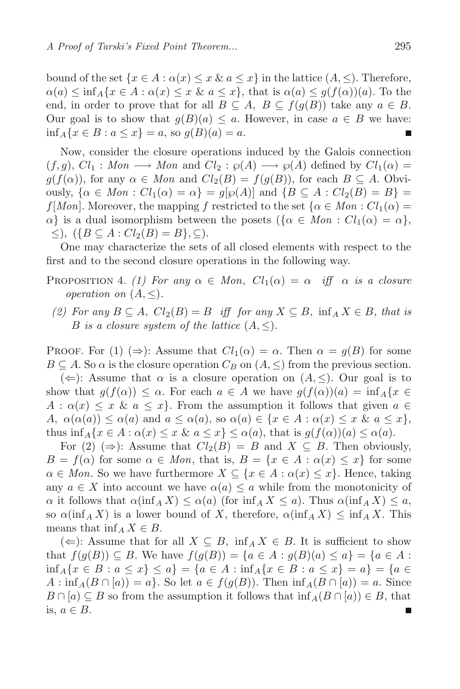bound of the set  $\{x \in A : \alpha(x) \le x \& a \le x\}$  in the lattice  $(A, \le)$ . Therefore,  $\alpha(a) \leq \inf_{A} \{x \in A : \alpha(x) \leq x \& a \leq x\},\$  that is  $\alpha(a) \leq g(f(\alpha))(a)$ . To the end, in order to prove that for all  $B \subseteq A$ ,  $B \subseteq f(g(B))$  take any  $a \in B$ . Our goal is to show that  $g(B)(a) \leq a$ . However, in case  $a \in B$  we have:  $\inf_{A} \{x \in B : a \leq x\} = a$ , so  $q(B)(a) = a$ .

Now, consider the closure operations induced by the Galois connection  $(f,g), Cl_1: Mon \longrightarrow Mon$  and  $Cl_2: \wp(A) \longrightarrow \wp(A)$  defined by  $Cl_1(\alpha) =$  $g(f(\alpha))$ , for any  $\alpha \in Mon$  and  $Cl_2(B) = f(g(B))$ , for each  $B \subseteq A$ . Obviously,  $\{\alpha \in Mon : Cl_1(\alpha) = \alpha\} = g[\varphi(A)]$  and  $\{B \subseteq A : Cl_2(B) = B\}$  $f[Mon]$ . Moreover, the mapping f restricted to the set  $\{\alpha \in Mon : Cl_1(\alpha) =$  $\alpha$  is a dual isomorphism between the posets  $(\{\alpha \in Mon : Cl_1(\alpha) = \alpha\},\)$  $\leq$ ),  $({B \subseteq A : Cl<sub>2</sub>(B) = B}, \subseteq).$ 

<span id="page-8-0"></span>One may characterize the sets of all closed elements with respect to the first and to the second closure operations in the following way.

- PROPOSITION 4. *(1) For any*  $\alpha \in Mon$ ,  $Cl_1(\alpha) = \alpha$  *iff*  $\alpha$  *is a closure operation on*  $(A, \leq)$ *.* 
	- *(2)* For any  $B \subseteq A$ ,  $Cl_2(B) = B$  *iff for any*  $X \subseteq B$ ,  $\inf_A X \in B$ , that is B is a closure system of the lattice  $(A, \leq)$ .

PROOF. For (1) ( $\Rightarrow$ ): Assume that  $Cl_1(\alpha) = \alpha$ . Then  $\alpha = g(B)$  for some  $B \subseteq A$ . So  $\alpha$  is the closure operation  $C_B$  on  $(A, \leq)$  from the previous section.

 $(\Leftarrow)$ : Assume that  $\alpha$  is a closure operation on  $(A, \le)$ . Our goal is to show that  $g(f(\alpha)) \leq \alpha$ . For each  $a \in A$  we have  $g(f(\alpha))(a) = \inf_{A} \{x \in A\}$  $A: \alpha(x) \leq x \& a \leq x$ . From the assumption it follows that given  $a \in$  $A, \alpha(\alpha(a)) \leq \alpha(a)$  and  $a \leq \alpha(a)$ , so  $\alpha(a) \in \{x \in A : \alpha(x) \leq x \& a \leq x\},$ thus inf  $_A\{x \in A : \alpha(x) \leq x \& a \leq x\} \leq \alpha(a)$ , that is  $g(f(\alpha))(a) \leq \alpha(a)$ .

For  $(2) \ (\Rightarrow)$ : Assume that  $Cl_2(B) = B$  and  $X \subseteq B$ . Then obviously,  $B = f(\alpha)$  for some  $\alpha \in Mon$ , that is,  $B = \{x \in A : \alpha(x) \leq x\}$  for some  $\alpha \in Mon$ . So we have furthermore  $X \subseteq \{x \in A : \alpha(x) \leq x\}$ . Hence, taking any  $a \in X$  into account we have  $\alpha(a) \leq a$  while from the monotonicity of  $\alpha$  it follows that  $\alpha(\inf_{A} X) \leq \alpha(a)$  (for  $\inf_{A} X \leq a$ ). Thus  $\alpha(\inf_{A} X) \leq a$ , so  $\alpha(\inf_{A} X)$  is a lower bound of X, therefore,  $\alpha(\inf_{A} X) \leq \inf_{A} X$ . This means that inf<sub>A</sub>  $X \in B$ .

(←): Assume that for all  $X \subseteq B$ ,  $\inf_{A} X \in B$ . It is sufficient to show that  $f(g(B)) \subseteq B$ . We have  $f(g(B)) = \{a \in A : g(B)(a) \le a\} = \{a \in A : A$  $\inf_{A} \{x \in B : a \leq x\} \leq a\} = \{a \in A : \inf_{A} \{x \in B : a \leq x\} = a\} = \{a \in A : \inf_{A} \{x \in B : a \leq x\} = a\}$  $A: \inf_A(B \cap [a]) = a$ . So let  $a \in f(g(B))$ . Then  $\inf_A(B \cap [a]) = a$ . Since  $B \cap [a] \subseteq B$  so from the assumption it follows that  $\inf_A(B \cap [a]) \in B$ , that is,  $a \in B$ .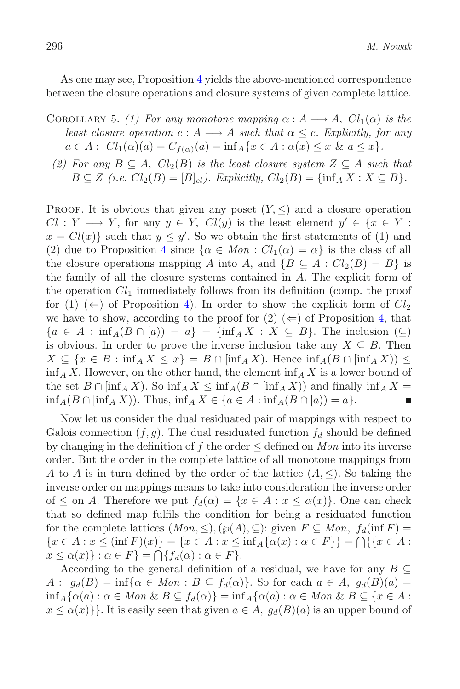As one may see, Proposition [4](#page-8-0) yields the above-mentioned correspondence between the closure operations and closure systems of given complete lattice.

- COROLLARY 5. *(1) For any monotone mapping*  $\alpha : A \longrightarrow A$ ,  $Cl_1(\alpha)$  *is the least closure operation*  $c : A \longrightarrow A$  *such that*  $\alpha \leq c$ *. Explicitly, for any*  $a \in A : Cl_1(\alpha)(a) = C_{f(\alpha)}(a) = \inf_A \{x \in A : \alpha(x) \leq x \& a \leq x\}.$
- *(2) For any*  $B \subseteq A$ ,  $Cl_2(B)$  *is the least closure system*  $Z \subseteq A$  *such that*  $B \subseteq Z$  (i.e.  $Cl_2(B) = [B]_{cl}$ ). Explicitly,  $Cl_2(B) = {\inf_A X : X \subseteq B}$ .

PROOF. It is obvious that given any poset  $(Y, \leq)$  and a closure operation  $Cl: Y \longrightarrow Y$ , for any  $y \in Y$ ,  $Cl(y)$  is the least element  $y' \in \{x \in Y :$  $x = Cl(x)$  such that  $y \le y'$ . So we obtain the first statements of (1) and (2) due to Proposition A since  $\{ \alpha \in Man : Cl_1(\alpha) = \alpha \}$  is the class of all (2) due to Proposition [4](#page-8-0) since  $\{\alpha \in Mon : Cl_1(\alpha) = \alpha\}$  is the class of all the closure operations mapping A into A, and  $\{B \subseteq A : Cl_2(B) = B\}$  is the family of all the closure systems contained in  $A$ . The explicit form of the operation  $Cl<sub>1</sub>$  immediately follows from its definition (comp. the proof for (1)  $(\Leftarrow)$  of Proposition [4\)](#page-8-0). In order to show the explicit form of  $Cl_2$ we have to show, according to the proof for  $(2) \ (\Leftarrow)$  of Proposition [4,](#page-8-0) that  ${a \in A : \inf_A(B \cap [a)) = a} = {\inf_A X : X \subseteq B}$ . The inclusion  $(\subseteq)$ is obvious. In order to prove the inverse inclusion take any  $X \subseteq B$ . Then  $X \subseteq \{x \in B : \inf_A X \leq x\} = B \cap [\inf_A X]$ . Hence  $\inf_A (B \cap [\inf_A X]) \leq$  $\inf_{A} X$ . However, on the other hand, the element  $\inf_{A} X$  is a lower bound of the set  $B \cap \left[\inf_{A} X\right]$ . So  $\inf_{A} X \leq \inf_{A} (B \cap \left[\inf_{A} X\right])$  and finally  $\inf_{A} X =$  $\inf_A(B \cap [\inf_A X])$ . Thus,  $\inf_A X \in \{a \in A : \inf_A(B \cap [a]) = a\}.$ 

Now let us consider the dual residuated pair of mappings with respect to Galois connection  $(f,g)$ . The dual residuated function  $f_d$  should be defined by changing in the definition of f the order  $\leq$  defined on *Mon* into its inverse order. But the order in the complete lattice of all monotone mappings from A to A is in turn defined by the order of the lattice  $(A, \leq)$ . So taking the inverse order on mappings means to take into consideration the inverse order of  $\leq$  on A. Therefore we put  $f_d(\alpha) = \{x \in A : x \leq \alpha(x)\}\.$  One can check that so defined map fulfils the condition for being a residuated function for the complete lattices  $(Mon, \leq), (\wp(A), \subseteq)$ : given  $F \subseteq Mon, f_d(\inf F) =$  $\{x \in A : x \leq (\inf F)(x)\} = \{x \in A : x \leq \inf A\{\alpha(x) : \alpha \in F\}\} = \bigcap \{\{x \in A : x \leq \alpha(x)\} : \alpha \in F\}$  $x \leq \alpha(x)$ :  $\alpha \in F$ } =  $\bigcap \{f_d(\alpha) : \alpha \in F\}.$ <br>According to the general definition of

According to the general definition of a residual, we have for any  $B \subseteq$  $A: g_d(B) = \inf{\alpha \in Mon : B \subseteq f_d(\alpha)}$ . So for each  $a \in A, g_d(B)(a) =$  $\inf_{A} \{ \alpha(a) : \alpha \in Mon \& B \subseteq f_d(\alpha) \} = \inf_{A} \{ \alpha(a) : \alpha \in Mon \& B \subseteq \{x \in A : \alpha(a) \in A \}$  $x \leq \alpha(x)$ . It is easily seen that given  $a \in A$ ,  $g_d(B)(a)$  is an upper bound of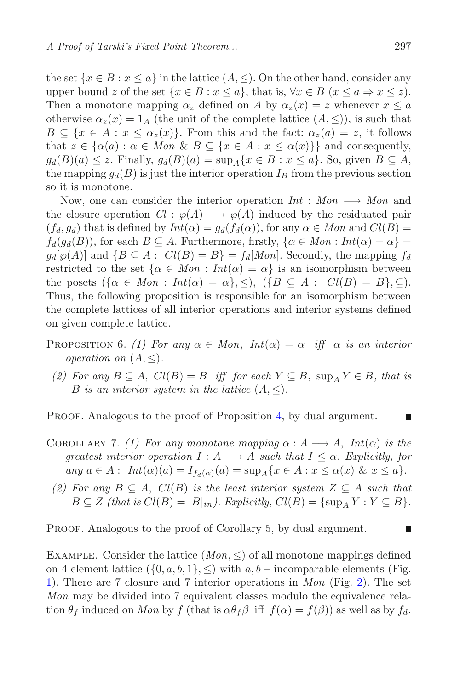the set  $\{x \in B : x \le a\}$  in the lattice  $(A, \le)$ . On the other hand, consider any upper bound z of the set  $\{x \in B : x \leq a\}$ , that is,  $\forall x \in B$   $(x \leq a \Rightarrow x \leq z)$ . Then a monotone mapping  $\alpha_z$  defined on A by  $\alpha_z(x) = z$  whenever  $x \leq a$ otherwise  $\alpha_z(x)=1_A$  (the unit of the complete lattice  $(A, \leq)$ ), is such that  $B \subseteq \{x \in A : x \leq \alpha_z(x)\}\.$  From this and the fact:  $\alpha_z(a) = z$ , it follows that  $z \in {\alpha(a) : \alpha \in Mon \& B \subseteq {x \in A : x \leq \alpha(x)}\}$  and consequently,  $g_d(B)(a) \leq z$ . Finally,  $g_d(B)(a) = \sup_A \{x \in B : x \leq a\}$ . So, given  $B \subseteq A$ , the mapping  $g_d(B)$  is just the interior operation  $I_B$  from the previous section so it is monotone.

Now, one can consider the interior operation  $Int : Mon \longrightarrow Mon$  and the closure operation  $Cl : \wp(A) \longrightarrow \wp(A)$  induced by the residuated pair  $(f_d, g_d)$  that is defined by  $Int(\alpha) = g_d(f_d(\alpha))$ , for any  $\alpha \in Mon$  and  $Cl(B) =$  $f_d(g_d(B))$ , for each  $B \subseteq A$ . Furthermore, firstly,  $\{\alpha \in Mon : Int(\alpha) = \alpha\}$  $g_d[\wp(A)]$  and  $\{B \subseteq A : Cl(B) = B\} = f_d[M \circ n]$ . Secondly, the mapping  $f_d$ restricted to the set  $\{\alpha \in Mon : Int(\alpha) = \alpha\}$  is an isomorphism between the posets  $({\alpha \in Mon : Int(\alpha) = \alpha}, {\leq}), (\{B \subseteq A : Cl(B) = B\}, {\subseteq}).$ Thus, the following proposition is responsible for an isomorphism between the complete lattices of all interior operations and interior systems defined on given complete lattice.

- PROPOSITION 6. *(1) For any*  $\alpha \in Mon$ ,  $Int(\alpha) = \alpha$  *iff*  $\alpha$  *is an interior operation on*  $(A, \leq)$ *.* 
	- *(2)* For any  $B \subseteq A$ ,  $Cl(B) = B$  iff for each  $Y \subseteq B$ ,  $\sup_A Y \in B$ , that is *B* is an interior system in the lattice  $(A, \leq)$ .

PROOF. Analogous to the proof of Proposition [4,](#page-8-0) by dual argument.

- COROLLARY 7. *(1) For any monotone mapping*  $\alpha : A \longrightarrow A$ , *Int*( $\alpha$ ) *is the greatest interior operation*  $I : A \longrightarrow A$  *such that*  $I \leq \alpha$ *. Explicitly, for*  $any \ a \in A: Int(\alpha)(a) = I_{f_d(\alpha)}(a) = \sup_A \{x \in A : x \leq \alpha(x) \ \& \ x \leq a\}.$
- *(2)* For any  $B \subseteq A$ ,  $Cl(B)$  *is the least interior system*  $Z \subseteq A$  *such that*  $B \subseteq Z$  *(that is*  $Cl(B) = [B]_{in}$ *). Explicitly,*  $Cl(B) = {\sup_{A} Y : Y \subseteq B}$ *.*

PROOF. Analogous to the proof of Corollary 5, by dual argument.

EXAMPLE. Consider the lattice  $(Mon, \leq)$  of all monotone mappings defined on 4-element lattice  $({0, a, b, 1}, \leq)$  with  $a, b$  – incomparable elements (Fig. [1\)](#page-11-0). There are 7 closure and 7 interior operations in *Mon* (Fig. [2\)](#page-12-0). The set *Mon* may be divided into 7 equivalent classes modulo the equivalence relation  $\theta_f$  induced on *Mon* by f (that is  $\alpha \theta_f \beta$  iff  $f(\alpha) = f(\beta)$ ) as well as by  $f_d$ .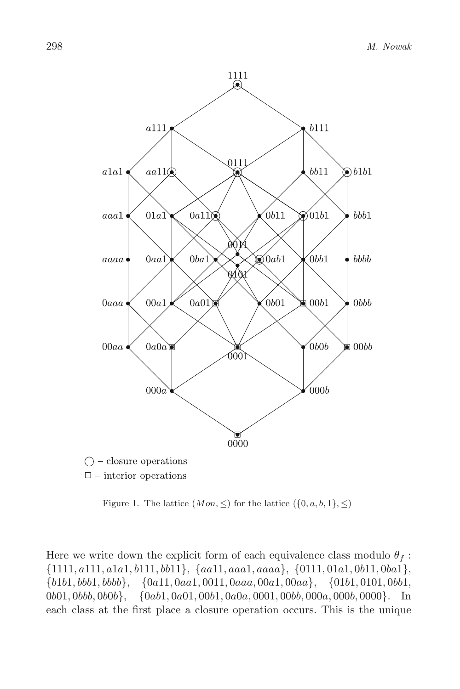

<span id="page-11-0"></span>Figure 1. The lattice  $(Mon, \leq)$  for the lattice  $({0, a, b, 1}, \leq)$ 

Here we write down the explicit form of each equivalence class modulo  $\theta_f$ : {1111, a111, a1a1, b111, bb11}, {aa11, aaa1, aaaa}, {0111, <sup>01</sup>a1, <sup>0</sup>b11, <sup>0</sup>ba1},  ${b1b1, bbb1, bbbb}, \quad {0a11, 0aa1, 0011, 0aaa, 00a1, 00aa}, \quad {01b1, 0101, 0bb1,}$ 0b01, 0bbb, 0b0b}, {0ab1, 0a01, 00b1, 0a0a, 0001, 00bb, 000a, 000b, 0000}. In each class at the first place a closure operation occurs. This is the unique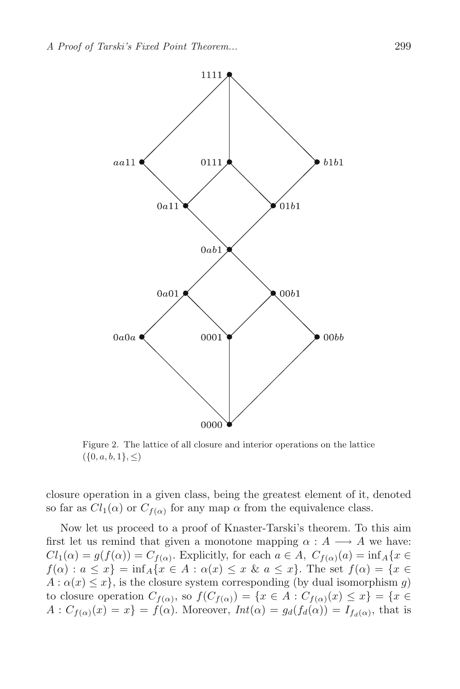

<span id="page-12-0"></span>Figure 2. The lattice of all closure and interior operations on the lattice  $({0, a, b, 1}, \leq)$ 

closure operation in a given class, being the greatest element of it, denoted so far as  $Cl_1(\alpha)$  or  $C_{f(\alpha)}$  for any map  $\alpha$  from the equivalence class.

Now let us proceed to a proof of Knaster-Tarski's theorem. To this aim first let us remind that given a monotone mapping  $\alpha : A \longrightarrow A$  we have:  $Cl_1(\alpha) = g(f(\alpha)) = C_{f(\alpha)}$ . Explicitly, for each  $a \in A$ ,  $C_{f(\alpha)}(a) = \inf_A \{x \in$  $f(\alpha): a \leq x$  = inf<sub>A</sub>{ $x \in A : \alpha(x) \leq x \& a \leq x$ }. The set  $f(\alpha) = \{x \in A : \alpha(x) \leq x \& a \leq x\}$  $A: \alpha(x) \leq x$ , is the closure system corresponding (by dual isomorphism q) to closure operation  $C_{f(\alpha)}$ , so  $f(C_{f(\alpha)}) = \{x \in A : C_{f(\alpha)}(x) \leq x\} = \{x \in A : C_{f(\alpha)}(x) \leq x\}$  $A: C_{f(\alpha)}(x) = x$  =  $f(\alpha)$ . Moreover,  $Int(\alpha) = g_d(f_d(\alpha)) = I_{f_d(\alpha)}$ , that is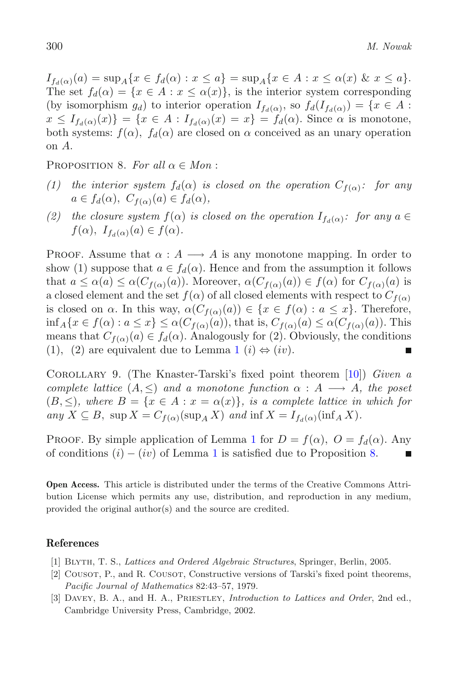$I_{f_d(\alpha)}(a) = \sup_A \{x \in f_d(\alpha) : x \le a\} = \sup_A \{x \in A : x \le \alpha(x) \& x \le a\}.$ The set  $f_d(\alpha) = \{x \in A : x \leq \alpha(x)\}\)$ , is the interior system corresponding (by isomorphism  $g_d$ ) to interior operation  $I_{f_d(\alpha)}$ , so  $f_d(I_{f_d(\alpha)}) = \{x \in A :$  $x \leq I_{f_d(\alpha)}(x) = \{x \in A : I_{f_d(\alpha)}(x) = x\} = f_d(\alpha)$ . Since  $\alpha$  is monotone, both systems:  $f(\alpha)$ ,  $f_d(\alpha)$  are closed on  $\alpha$  conceived as an unary operation on A.

<span id="page-13-2"></span>PROPOSITION 8. For all  $\alpha \in Mon$ :

- *(1) the interior system*  $f_d(\alpha)$  *is closed on the operation*  $C_{f(\alpha)}$ *: for any*  $a \in f_d(\alpha)$ ,  $C_{f(\alpha)}(a) \in f_d(\alpha)$ ,
- *(2) the closure system*  $f(\alpha)$  *is closed on the operation*  $I_{f_d(\alpha)}$ *: for any*  $a \in$  $f(\alpha)$ ,  $I_{f_d(\alpha)}(a) \in f(\alpha)$ .

PROOF. Assume that  $\alpha : A \longrightarrow A$  is any monotone mapping. In order to show (1) suppose that  $a \in f_d(\alpha)$ . Hence and from the assumption it follows that  $a \leq \alpha(a) \leq \alpha(C_{f(\alpha)}(a))$ . Moreover,  $\alpha(C_{f(\alpha)}(a)) \in f(\alpha)$  for  $C_{f(\alpha)}(a)$  is a closed element and the set  $f(\alpha)$  of all closed elements with respect to  $C_{f(\alpha)}$ is closed on  $\alpha$ . In this way,  $\alpha(C_{f(\alpha)}(a)) \in \{x \in f(\alpha) : a \leq x\}$ . Therefore,  $\inf_A\{x\in f(\alpha):a\leq x\}\leq \alpha(C_{f(\alpha)}(a)),$  that is,  $C_{f(\alpha)}(a)\leq \alpha(C_{f(\alpha)}(a)).$  This means that  $C_{f(\alpha)}(a) \in f_d(\alpha)$ . Analogously for (2). Obviously, the conditions (1) (2) are equivalent due to Lemma 1 (i)  $\leftrightarrow$  (iv) ([1](#page-5-0)), (2) are equivalent due to Lemma 1 (i)  $\Leftrightarrow$  (iv).

<span id="page-13-0"></span>Corollary 9. (The Knaster-Tarski's fixed point theorem [\[10\]](#page-14-0)) *Given a complete lattice*  $(A, \leq)$  *and a monotone function*  $\alpha : A \longrightarrow A$ *, the poset*  $(B, \leq)$ *, where*  $B = \{x \in A : x = \alpha(x)\}\$ *, is a complete lattice in which for*  $any X \subseteq B$ ,  $sup X = C_{f(\alpha)}(sup_{A} X)$  *and*  $inf X = I_{f_d(\alpha)}(inf_{A} X)$ .

PROOF. By simple application of Lemma [1](#page-5-0) for  $D = f(\alpha)$ ,  $O = f_d(\alpha)$ . Any of conditions  $(i) - (iv)$  of Lemma [1](#page-5-0) is satisfied due to Proposition [8.](#page-13-2)

**Open Access.** This article is distributed under the terms of the Creative Commons Attribution License which permits any use, distribution, and reproduction in any medium, provided the original author(s) and the source are credited.

#### <span id="page-13-3"></span>**References**

- [1] Blyth, T. S., *Lattices and Ordered Algebraic Structures*, Springer, Berlin, 2005.
- <span id="page-13-1"></span>[2] COUSOT, P., and R. COUSOT, Constructive versions of Tarski's fixed point theorems, *Pacific Journal of Mathematics* 82:43–57, 1979.
- <span id="page-13-4"></span>[3] Davey, B. A., and H. A., Priestley, *Introduction to Lattices and Order*, 2nd ed., Cambridge University Press, Cambridge, 2002.